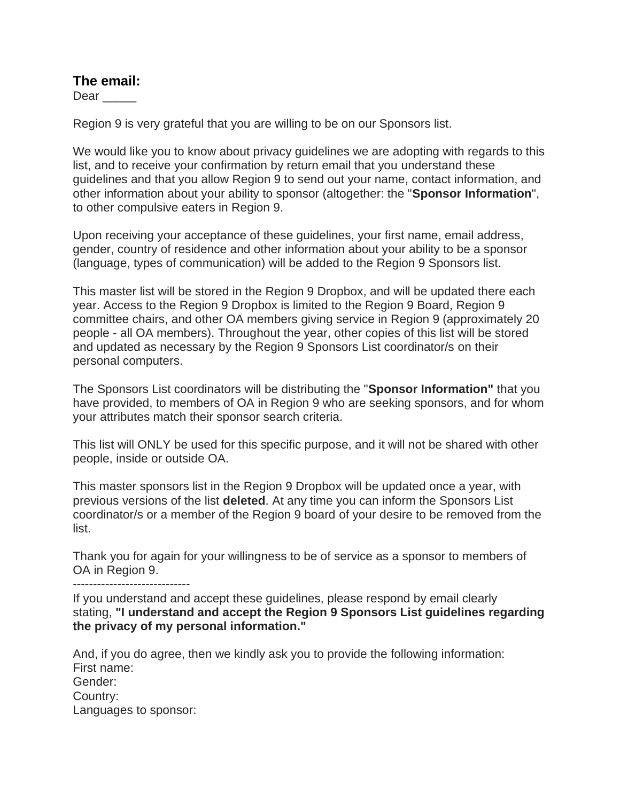## **The email:**

Dear  $\qquad \qquad$ 

Region 9 is very grateful that you are willing to be on our Sponsors list.

We would like you to know about privacy guidelines we are adopting with regards to this list, and to receive your confirmation by return email that you understand these guidelines and that you allow Region 9 to send out your name, contact information, and other information about your ability to sponsor (altogether: the "**Sponsor Information**", to other compulsive eaters in Region 9.

Upon receiving your acceptance of these guidelines, your first name, email address, gender, country of residence and other information about your ability to be a sponsor (language, types of communication) will be added to the Region 9 Sponsors list.

This master list will be stored in the Region 9 Dropbox, and will be updated there each year. Access to the Region 9 Dropbox is limited to the Region 9 Board, Region 9 committee chairs, and other OA members giving service in Region 9 (approximately 20 people - all OA members). Throughout the year, other copies of this list will be stored and updated as necessary by the Region 9 Sponsors List coordinator/s on their personal computers.

The Sponsors List coordinators will be distributing the "**Sponsor Information"** that you have provided, to members of OA in Region 9 who are seeking sponsors, and for whom your attributes match their sponsor search criteria.

This list will ONLY be used for this specific purpose, and it will not be shared with other people, inside or outside OA.

This master sponsors list in the Region 9 Dropbox will be updated once a year, with previous versions of the list **deleted**. At any time you can inform the Sponsors List coordinator/s or a member of the Region 9 board of your desire to be removed from the list.

Thank you for again for your willingness to be of service as a sponsor to members of OA in Region 9.

-----------------------------

If you understand and accept these guidelines, please respond by email clearly stating, **"I understand and accept the Region 9 Sponsors List guidelines regarding the privacy of my personal information."**

And, if you do agree, then we kindly ask you to provide the following information: First name: Gender: Country: Languages to sponsor: